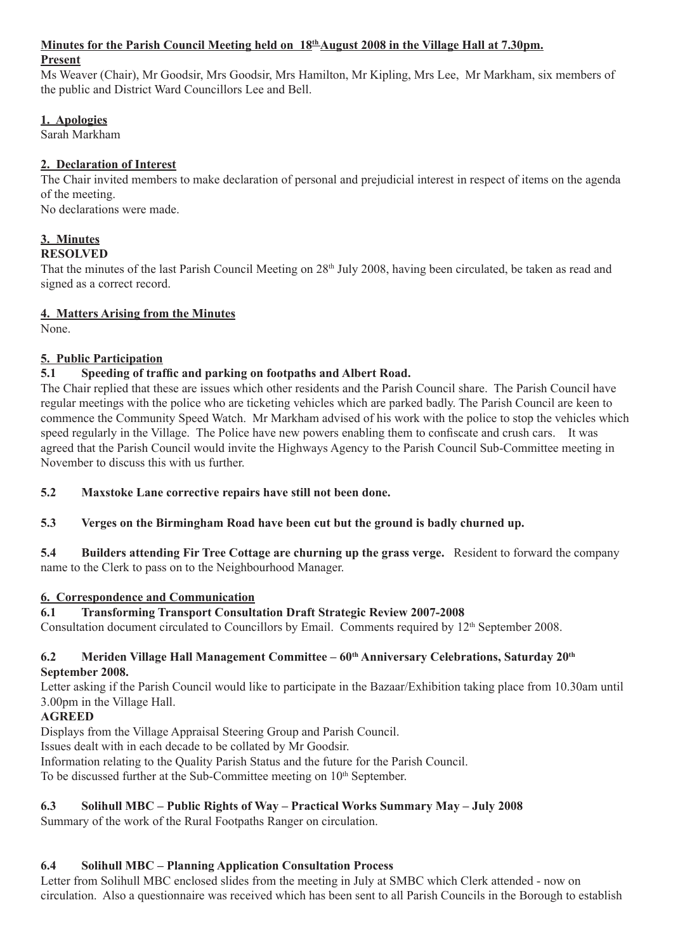# **Minutes for the Parish Council Meeting held on 18th August 2008 in the Village Hall at 7.30pm.**

#### **Present**

Ms Weaver (Chair), Mr Goodsir, Mrs Goodsir, Mrs Hamilton, Mr Kipling, Mrs Lee, Mr Markham, six members of the public and District Ward Councillors Lee and Bell.

#### **1. Apologies**

Sarah Markham

# **2. Declaration of Interest**

The Chair invited members to make declaration of personal and prejudicial interest in respect of items on the agenda of the meeting.

No declarations were made.

# **3. Minutes**

# **RESOLVED**

That the minutes of the last Parish Council Meeting on  $28<sup>th</sup>$  July 2008, having been circulated, be taken as read and signed as a correct record.

# **4. Matters Arising from the Minutes**

None.

# **5. Public Participation**

# **5.1 Speeding of traffic and parking on footpaths and Albert Road.**

The Chair replied that these are issues which other residents and the Parish Council share. The Parish Council have regular meetings with the police who are ticketing vehicles which are parked badly. The Parish Council are keen to commence the Community Speed Watch. Mr Markham advised of his work with the police to stop the vehicles which speed regularly in the Village. The Police have new powers enabling them to confiscate and crush cars. It was agreed that the Parish Council would invite the Highways Agency to the Parish Council Sub-Committee meeting in November to discuss this with us further.

**5.2 Maxstoke Lane corrective repairs have still not been done.** 

# **5.3 Verges on the Birmingham Road have been cut but the ground is badly churned up.**

**5.4 Builders attending Fir Tree Cottage are churning up the grass verge.** Resident to forward the company name to the Clerk to pass on to the Neighbourhood Manager.

# **6. Correspondence and Communication**

# **6.1 Transforming Transport Consultation Draft Strategic Review 2007-2008**

Consultation document circulated to Councillors by Email. Comments required by 12<sup>th</sup> September 2008.

#### **6.2 Meriden Village Hall Management Committee – 60th Anniversary Celebrations, Saturday 20th September 2008.**

Letter asking if the Parish Council would like to participate in the Bazaar/Exhibition taking place from 10.30am until 3.00pm in the Village Hall.

# **AGREED**

Displays from the Village Appraisal Steering Group and Parish Council.

Issues dealt with in each decade to be collated by Mr Goodsir.

Information relating to the Quality Parish Status and the future for the Parish Council.

To be discussed further at the Sub-Committee meeting on 10<sup>th</sup> September.

# **6.3 Solihull MBC – Public Rights of Way – Practical Works Summary May – July 2008**

Summary of the work of the Rural Footpaths Ranger on circulation.

# **6.4 Solihull MBC – Planning Application Consultation Process**

Letter from Solihull MBC enclosed slides from the meeting in July at SMBC which Clerk attended - now on circulation. Also a questionnaire was received which has been sent to all Parish Councils in the Borough to establish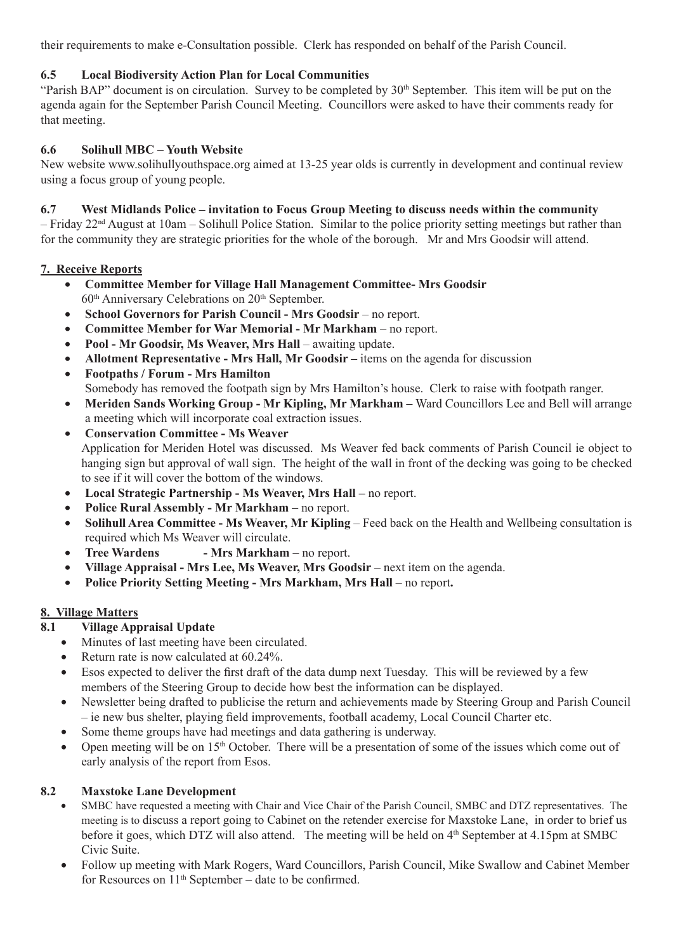their requirements to make e-Consultation possible. Clerk has responded on behalf of the Parish Council.

#### **6.5 Local Biodiversity Action Plan for Local Communities**

"Parish BAP" document is on circulation. Survey to be completed by  $30<sup>th</sup>$  September. This item will be put on the agenda again for the September Parish Council Meeting. Councillors were asked to have their comments ready for that meeting.

#### **6.6 Solihull MBC – Youth Website**

New website www.solihullyouthspace.org aimed at 13-25 year olds is currently in development and continual review using a focus group of young people.

#### **6.7 West Midlands Police – invitation to Focus Group Meeting to discuss needs within the community**

– Friday 22nd August at 10am – Solihull Police Station. Similar to the police priority setting meetings but rather than for the community they are strategic priorities for the whole of the borough. Mr and Mrs Goodsir will attend.

#### **7. Receive Reports**

- **Committee Member for Village Hall Management Committee- Mrs Goodsir**  $60<sup>th</sup>$  Anniversary Celebrations on  $20<sup>th</sup>$  September.
- **School Governors for Parish Council Mrs Goodsir** no report.
- **Committee Member for War Memorial Mr Markham** no report.
- **Pool Mr Goodsir, Ms Weaver, Mrs Hall** awaiting update.
- **Allotment Representative Mrs Hall, Mr Goodsir** items on the agenda for discussion
- **Footpaths / Forum Mrs Hamilton** Somebody has removed the footpath sign by Mrs Hamilton's house. Clerk to raise with footpath ranger.
- Meriden Sands Working Group Mr Kipling, Mr Markham Ward Councillors Lee and Bell will arrange a meeting which will incorporate coal extraction issues.
- **Conservation Committee Ms Weaver**  Application for Meriden Hotel was discussed. Ms Weaver fed back comments of Parish Council ie object to hanging sign but approval of wall sign. The height of the wall in front of the decking was going to be checked to see if it will cover the bottom of the windows.
- **Local Strategic Partnership Ms Weaver, Mrs Hall** no report.
- **Police Rural Assembly Mr Markham** no report.
- Solihull Area Committee Ms Weaver, Mr Kipling Feed back on the Health and Wellbeing consultation is required which Ms Weaver will circulate.
- **Tree Wardens Mrs Markham** no report.
- **Village Appraisal Mrs Lee, Ms Weaver, Mrs Goodsir** next item on the agenda.
- **Police Priority Setting Meeting Mrs Markham, Mrs Hall no report.**

#### **8. Village Matters**

# **8.1 Village Appraisal Update**

- Minutes of last meeting have been circulated.
- Return rate is now calculated at 60.24%.
- Esos expected to deliver the first draft of the data dump next Tuesday. This will be reviewed by a few members of the Steering Group to decide how best the information can be displayed.
- Newsletter being drafted to publicise the return and achievements made by Steering Group and Parish Council – ie new bus shelter, playing field improvements, football academy, Local Council Charter etc.
- Some theme groups have had meetings and data gathering is underway.
- Open meeting will be on 15th October. There will be a presentation of some of the issues which come out of early analysis of the report from Esos.

#### **8.2 Maxstoke Lane Development**

- SMBC have requested a meeting with Chair and Vice Chair of the Parish Council, SMBC and DTZ representatives. The meeting is to discuss a report going to Cabinet on the retender exercise for Maxstoke Lane, in order to brief us before it goes, which DTZ will also attend. The meeting will be held on 4<sup>th</sup> September at 4.15pm at SMBC Civic Suite.
- Follow up meeting with Mark Rogers, Ward Councillors, Parish Council, Mike Swallow and Cabinet Member for Resources on  $11<sup>th</sup>$  September – date to be confirmed.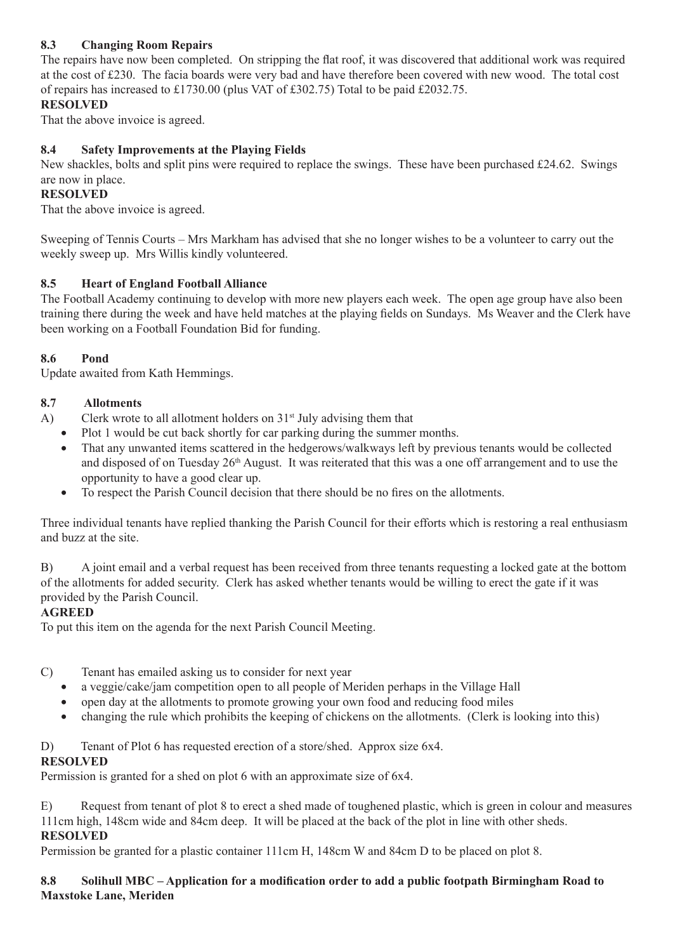# **8.3 Changing Room Repairs**

The repairs have now been completed. On stripping the flat roof, it was discovered that additional work was required at the cost of £230. The facia boards were very bad and have therefore been covered with new wood. The total cost of repairs has increased to £1730.00 (plus VAT of £302.75) Total to be paid £2032.75.

#### **RESOLVED**

That the above invoice is agreed.

# **8.4 Safety Improvements at the Playing Fields**

New shackles, bolts and split pins were required to replace the swings. These have been purchased £24.62. Swings are now in place.

#### **RESOLVED**

That the above invoice is agreed.

Sweeping of Tennis Courts – Mrs Markham has advised that she no longer wishes to be a volunteer to carry out the weekly sweep up. Mrs Willis kindly volunteered.

#### **8.5 Heart of England Football Alliance**

The Football Academy continuing to develop with more new players each week. The open age group have also been training there during the week and have held matches at the playing fields on Sundays. Ms Weaver and the Clerk have been working on a Football Foundation Bid for funding.

#### **8.6 Pond**

Update awaited from Kath Hemmings.

#### **8.7 Allotments**

A) Clerk wrote to all allotment holders on  $31<sup>st</sup>$  July advising them that

- Plot 1 would be cut back shortly for car parking during the summer months.
- That any unwanted items scattered in the hedgerows/walkways left by previous tenants would be collected and disposed of on Tuesday 26<sup>th</sup> August. It was reiterated that this was a one off arrangement and to use the opportunity to have a good clear up.
- To respect the Parish Council decision that there should be no fires on the allotments.

Three individual tenants have replied thanking the Parish Council for their efforts which is restoring a real enthusiasm and buzz at the site.

B) A joint email and a verbal request has been received from three tenants requesting a locked gate at the bottom of the allotments for added security. Clerk has asked whether tenants would be willing to erect the gate if it was provided by the Parish Council.

#### **AGREED**

To put this item on the agenda for the next Parish Council Meeting.

- C) Tenant has emailed asking us to consider for next year
	- a veggie/cake/jam competition open to all people of Meriden perhaps in the Village Hall
	- open day at the allotments to promote growing your own food and reducing food miles
	- changing the rule which prohibits the keeping of chickens on the allotments. (Clerk is looking into this)

# D) Tenant of Plot 6 has requested erection of a store/shed. Approx size 6x4.

#### **RESOLVED**

Permission is granted for a shed on plot 6 with an approximate size of 6x4.

E) Request from tenant of plot 8 to erect a shed made of toughened plastic, which is green in colour and measures 111cm high, 148cm wide and 84cm deep. It will be placed at the back of the plot in line with other sheds. **RESOLVED**

Permission be granted for a plastic container 111cm H, 148cm W and 84cm D to be placed on plot 8.

#### **8.8 Solihull MBC – Application for a modification order to add a public footpath Birmingham Road to Maxstoke Lane, Meriden**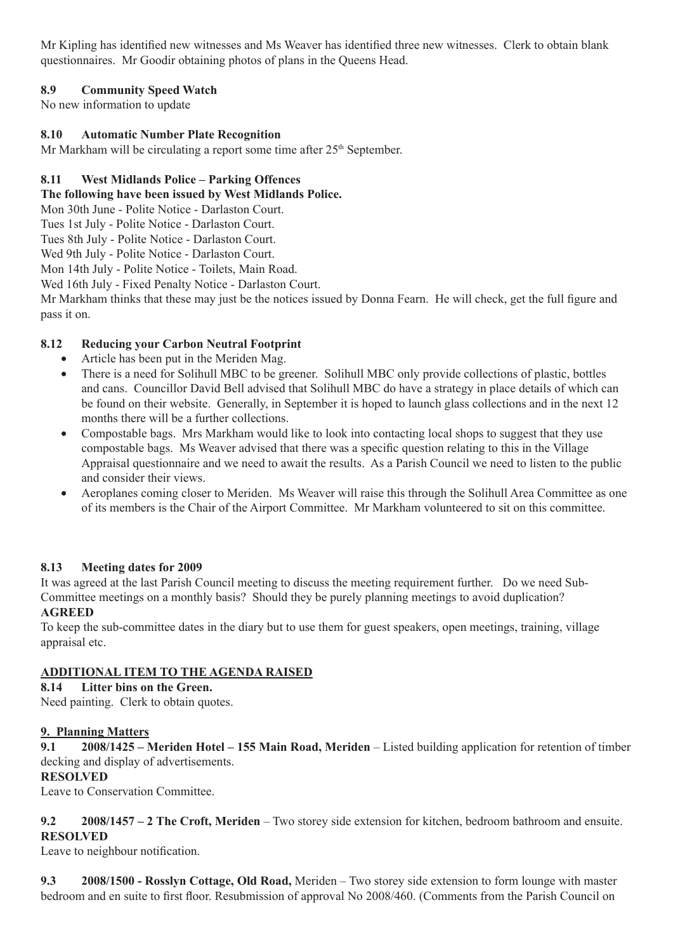Mr Kipling has identified new witnesses and Ms Weaver has identified three new witnesses. Clerk to obtain blank questionnaires. Mr Goodir obtaining photos of plans in the Queens Head.

# **8.9 Community Speed Watch**

No new information to update

#### **8.10 Automatic Number Plate Recognition**

Mr Markham will be circulating a report some time after  $25<sup>th</sup>$  September.

#### **8.11 West Midlands Police – Parking Offences**

**The following have been issued by West Midlands Police.**

Mon 30th June - Polite Notice - Darlaston Court.

Tues 1st July - Polite Notice - Darlaston Court.

Tues 8th July - Polite Notice - Darlaston Court.

Wed 9th July - Polite Notice - Darlaston Court.

Mon 14th July - Polite Notice - Toilets, Main Road.

Wed 16th July - Fixed Penalty Notice - Darlaston Court.

Mr Markham thinks that these may just be the notices issued by Donna Fearn. He will check, get the full figure and pass it on.

#### **8.12 Reducing your Carbon Neutral Footprint**

- Article has been put in the Meriden Mag.
- There is a need for Solihull MBC to be greener. Solihull MBC only provide collections of plastic, bottles and cans. Councillor David Bell advised that Solihull MBC do have a strategy in place details of which can be found on their website. Generally, in September it is hoped to launch glass collections and in the next 12 months there will be a further collections.
- Compostable bags. Mrs Markham would like to look into contacting local shops to suggest that they use compostable bags. Ms Weaver advised that there was a specific question relating to this in the Village Appraisal questionnaire and we need to await the results. As a Parish Council we need to listen to the public and consider their views.
- Aeroplanes coming closer to Meriden. Ms Weaver will raise this through the Solihull Area Committee as one of its members is the Chair of the Airport Committee. Mr Markham volunteered to sit on this committee.

#### **8.13 Meeting dates for 2009**

It was agreed at the last Parish Council meeting to discuss the meeting requirement further. Do we need Sub-Committee meetings on a monthly basis? Should they be purely planning meetings to avoid duplication? **AGREED**

To keep the sub-committee dates in the diary but to use them for guest speakers, open meetings, training, village appraisal etc.

#### **ADDITIONAL ITEM TO THE AGENDA RAISED**

**8.14 Litter bins on the Green.** Need painting. Clerk to obtain quotes.

#### **9. Planning Matters**

**9.1 2008/1425 – Meriden Hotel – 155 Main Road, Meriden** – Listed building application for retention of timber decking and display of advertisements.

#### **RESOLVED**

Leave to Conservation Committee.

#### **9.2 2008/1457 – 2 The Croft, Meriden** – Two storey side extension for kitchen, bedroom bathroom and ensuite. **RESOLVED**

Leave to neighbour notification.

**9.3 2008/1500 - Rosslyn Cottage, Old Road,** Meriden – Two storey side extension to form lounge with master bedroom and en suite to first floor. Resubmission of approval No 2008/460. (Comments from the Parish Council on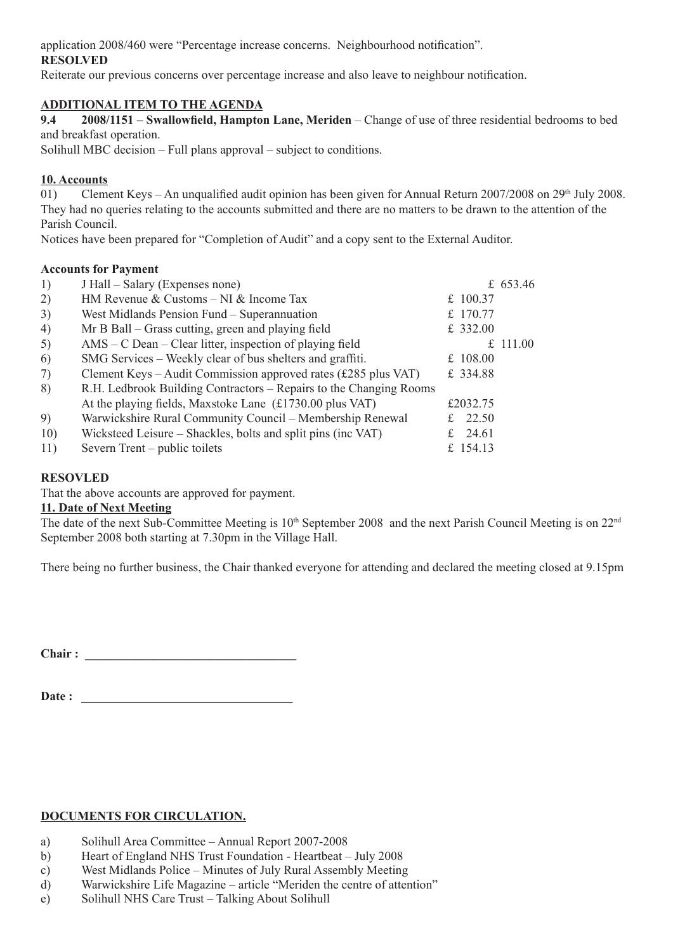application 2008/460 were "Percentage increase concerns. Neighbourhood notification".

#### **RESOLVED**

Reiterate our previous concerns over percentage increase and also leave to neighbour notification.

#### **ADDITIONAL ITEM TO THE AGENDA**

**9.4 2008/1151 – Swallowfield, Hampton Lane, Meriden** – Change of use of three residential bedrooms to bed and breakfast operation.

Solihull MBC decision – Full plans approval – subject to conditions.

# **10. Accounts**

01) Clement Keys – An unqualified audit opinion has been given for Annual Return 2007/2008 on 29<sup>th</sup> July 2008. They had no queries relating to the accounts submitted and there are no matters to be drawn to the attention of the Parish Council.

Notices have been prepared for "Completion of Audit" and a copy sent to the External Auditor.

#### **Accounts for Payment**

| 1)  | J Hall – Salary (Expenses none)                                    |            | £ 653.46 |
|-----|--------------------------------------------------------------------|------------|----------|
| 2)  | HM Revenue & Customs $-$ NI & Income Tax                           | £ $100.37$ |          |
| 3)  | West Midlands Pension Fund - Superannuation                        | £ 170.77   |          |
| 4)  | Mr B Ball - Grass cutting, green and playing field                 | £ 332.00   |          |
| 5)  | AMS – C Dean – Clear litter, inspection of playing field           |            | £ 111.00 |
| 6)  | SMG Services – Weekly clear of bus shelters and graffiti.          | £ $108.00$ |          |
| 7)  | Clement Keys - Audit Commission approved rates (£285 plus VAT)     | £ 334.88   |          |
| 8)  | R.H. Ledbrook Building Contractors – Repairs to the Changing Rooms |            |          |
|     | At the playing fields, Maxstoke Lane (£1730.00 plus VAT)           | £2032.75   |          |
| 9)  | Warwickshire Rural Community Council – Membership Renewal          | £ 22.50    |          |
| 10) | Wicksteed Leisure – Shackles, bolts and split pins (inc VAT)       | £ 24.61    |          |
| 11) | Severn Trent – public toilets                                      | £ 154.13   |          |
|     |                                                                    |            |          |

#### **RESOVLED**

That the above accounts are approved for payment.

#### **11. Date of Next Meeting**

The date of the next Sub-Committee Meeting is 10<sup>th</sup> September 2008 and the next Parish Council Meeting is on 22<sup>nd</sup> September 2008 both starting at 7.30pm in the Village Hall.

There being no further business, the Chair thanked everyone for attending and declared the meeting closed at 9.15pm

Chair :

Date :

# **DOCUMENTS FOR CIRCULATION.**

- a) Solihull Area Committee Annual Report 2007-2008
- b) Heart of England NHS Trust Foundation Heartbeat July 2008
- c) West Midlands Police Minutes of July Rural Assembly Meeting
- d) Warwickshire Life Magazine article "Meriden the centre of attention"
- e) Solihull NHS Care Trust Talking About Solihull